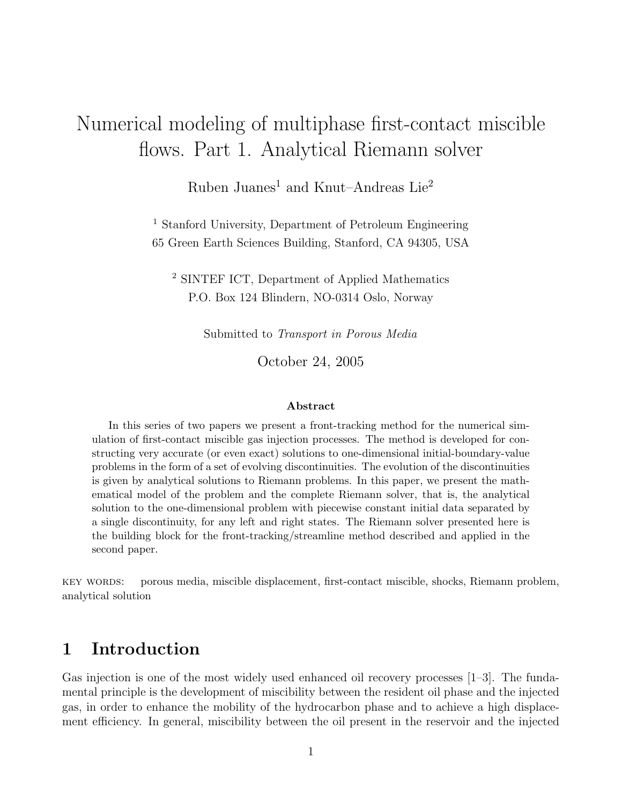# Numerical modeling of multiphase first-contact miscible flows. Part 1. Analytical Riemann solver

Ruben Juanes<sup>1</sup> and Knut–Andreas Lie<sup>2</sup>

<sup>1</sup> Stanford University, Department of Petroleum Engineering 65 Green Earth Sciences Building, Stanford, CA 94305, USA

<sup>2</sup> SINTEF ICT, Department of Applied Mathematics P.O. Box 124 Blindern, NO-0314 Oslo, Norway

Submitted to Transport in Porous Media

October 24, 2005

#### Abstract

In this series of two papers we present a front-tracking method for the numerical simulation of first-contact miscible gas injection processes. The method is developed for constructing very accurate (or even exact) solutions to one-dimensional initial-boundary-value problems in the form of a set of evolving discontinuities. The evolution of the discontinuities is given by analytical solutions to Riemann problems. In this paper, we present the mathematical model of the problem and the complete Riemann solver, that is, the analytical solution to the one-dimensional problem with piecewise constant initial data separated by a single discontinuity, for any left and right states. The Riemann solver presented here is the building block for the front-tracking/streamline method described and applied in the second paper.

key words: porous media, miscible displacement, first-contact miscible, shocks, Riemann problem, analytical solution

# 1 Introduction

Gas injection is one of the most widely used enhanced oil recovery processes [1–3]. The fundamental principle is the development of miscibility between the resident oil phase and the injected gas, in order to enhance the mobility of the hydrocarbon phase and to achieve a high displacement efficiency. In general, miscibility between the oil present in the reservoir and the injected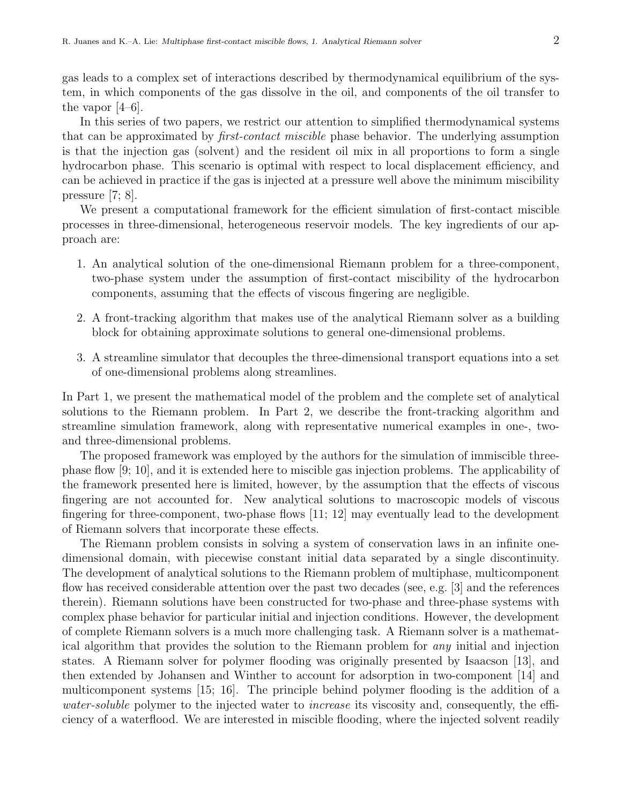gas leads to a complex set of interactions described by thermodynamical equilibrium of the system, in which components of the gas dissolve in the oil, and components of the oil transfer to the vapor [4–6].

In this series of two papers, we restrict our attention to simplified thermodynamical systems that can be approximated by first-contact miscible phase behavior. The underlying assumption is that the injection gas (solvent) and the resident oil mix in all proportions to form a single hydrocarbon phase. This scenario is optimal with respect to local displacement efficiency, and can be achieved in practice if the gas is injected at a pressure well above the minimum miscibility pressure [7; 8].

We present a computational framework for the efficient simulation of first-contact miscible processes in three-dimensional, heterogeneous reservoir models. The key ingredients of our approach are:

- 1. An analytical solution of the one-dimensional Riemann problem for a three-component, two-phase system under the assumption of first-contact miscibility of the hydrocarbon components, assuming that the effects of viscous fingering are negligible.
- 2. A front-tracking algorithm that makes use of the analytical Riemann solver as a building block for obtaining approximate solutions to general one-dimensional problems.
- 3. A streamline simulator that decouples the three-dimensional transport equations into a set of one-dimensional problems along streamlines.

In Part 1, we present the mathematical model of the problem and the complete set of analytical solutions to the Riemann problem. In Part 2, we describe the front-tracking algorithm and streamline simulation framework, along with representative numerical examples in one-, twoand three-dimensional problems.

The proposed framework was employed by the authors for the simulation of immiscible threephase flow [9; 10], and it is extended here to miscible gas injection problems. The applicability of the framework presented here is limited, however, by the assumption that the effects of viscous fingering are not accounted for. New analytical solutions to macroscopic models of viscous fingering for three-component, two-phase flows [11; 12] may eventually lead to the development of Riemann solvers that incorporate these effects.

The Riemann problem consists in solving a system of conservation laws in an infinite onedimensional domain, with piecewise constant initial data separated by a single discontinuity. The development of analytical solutions to the Riemann problem of multiphase, multicomponent flow has received considerable attention over the past two decades (see, e.g. [3] and the references therein). Riemann solutions have been constructed for two-phase and three-phase systems with complex phase behavior for particular initial and injection conditions. However, the development of complete Riemann solvers is a much more challenging task. A Riemann solver is a mathematical algorithm that provides the solution to the Riemann problem for any initial and injection states. A Riemann solver for polymer flooding was originally presented by Isaacson [13], and then extended by Johansen and Winther to account for adsorption in two-component [14] and multicomponent systems [15; 16]. The principle behind polymer flooding is the addition of a water-soluble polymer to the injected water to increase its viscosity and, consequently, the efficiency of a waterflood. We are interested in miscible flooding, where the injected solvent readily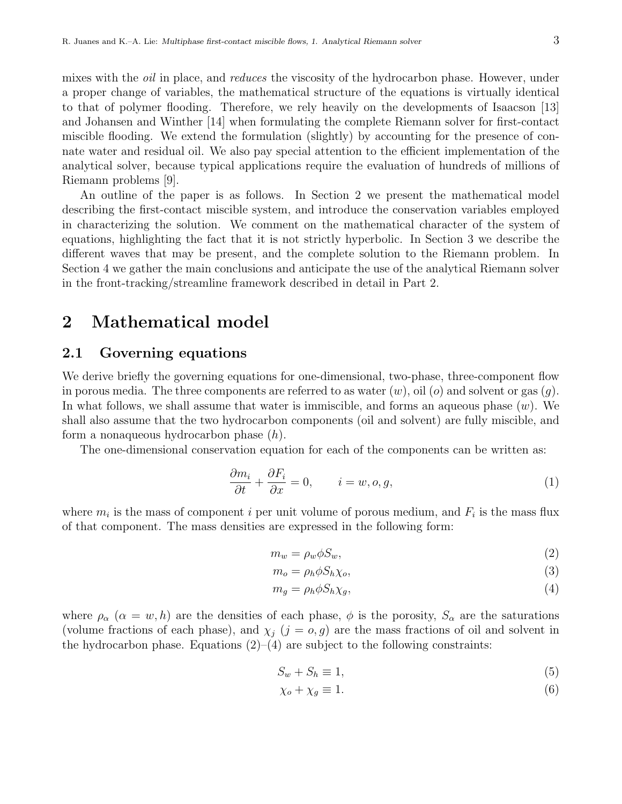mixes with the *oil* in place, and *reduces* the viscosity of the hydrocarbon phase. However, under a proper change of variables, the mathematical structure of the equations is virtually identical to that of polymer flooding. Therefore, we rely heavily on the developments of Isaacson [13] and Johansen and Winther [14] when formulating the complete Riemann solver for first-contact miscible flooding. We extend the formulation (slightly) by accounting for the presence of connate water and residual oil. We also pay special attention to the efficient implementation of the analytical solver, because typical applications require the evaluation of hundreds of millions of Riemann problems [9].

An outline of the paper is as follows. In Section 2 we present the mathematical model describing the first-contact miscible system, and introduce the conservation variables employed in characterizing the solution. We comment on the mathematical character of the system of equations, highlighting the fact that it is not strictly hyperbolic. In Section 3 we describe the different waves that may be present, and the complete solution to the Riemann problem. In Section 4 we gather the main conclusions and anticipate the use of the analytical Riemann solver in the front-tracking/streamline framework described in detail in Part 2.

# 2 Mathematical model

### 2.1 Governing equations

We derive briefly the governing equations for one-dimensional, two-phase, three-component flow in porous media. The three components are referred to as water  $(w)$ , oil  $(o)$  and solvent or gas  $(q)$ . In what follows, we shall assume that water is immiscible, and forms an aqueous phase  $(w)$ . We shall also assume that the two hydrocarbon components (oil and solvent) are fully miscible, and form a nonaqueous hydrocarbon phase (h).

The one-dimensional conservation equation for each of the components can be written as:

$$
\frac{\partial m_i}{\partial t} + \frac{\partial F_i}{\partial x} = 0, \qquad i = w, o, g,
$$
\n(1)

where  $m_i$  is the mass of component i per unit volume of porous medium, and  $F_i$  is the mass flux of that component. The mass densities are expressed in the following form:

$$
m_w = \rho_w \phi S_w,\tag{2}
$$

$$
m_o = \rho_h \phi S_h \chi_o,\tag{3}
$$

$$
m_g = \rho_h \phi S_h \chi_g,\tag{4}
$$

where  $\rho_{\alpha}$  ( $\alpha = w, h$ ) are the densities of each phase,  $\phi$  is the porosity,  $S_{\alpha}$  are the saturations (volume fractions of each phase), and  $\chi_i$  ( $j = 0, g$ ) are the mass fractions of oil and solvent in the hydrocarbon phase. Equations  $(2)$ – $(4)$  are subject to the following constraints:

$$
S_w + S_h \equiv 1,\tag{5}
$$

$$
\chi_o + \chi_g \equiv 1. \tag{6}
$$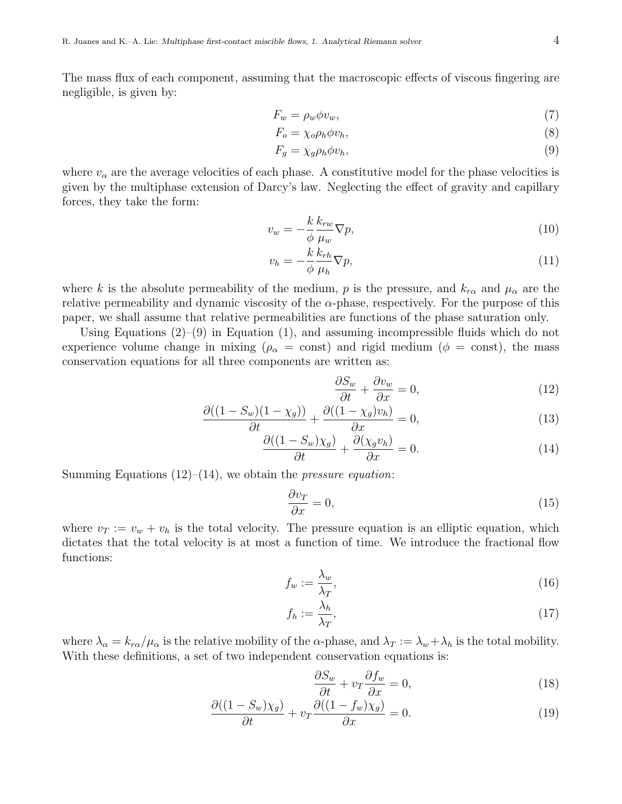The mass flux of each component, assuming that the macroscopic effects of viscous fingering are negligible, is given by:

$$
F_w = \rho_w \phi v_w,\tag{7}
$$

$$
F_o = \chi_o \rho_h \phi v_h,\tag{8}
$$

$$
F_g = \chi_g \rho_h \phi v_h,\tag{9}
$$

where  $v_{\alpha}$  are the average velocities of each phase. A constitutive model for the phase velocities is given by the multiphase extension of Darcy's law. Neglecting the effect of gravity and capillary forces, they take the form:

$$
v_w = -\frac{k}{\phi} \frac{k_{rw}}{\mu_w} \nabla p,\tag{10}
$$

$$
v_h = -\frac{k}{\phi} \frac{k_{rh}}{\mu_h} \nabla p,\tag{11}
$$

where k is the absolute permeability of the medium, p is the pressure, and  $k_{r\alpha}$  and  $\mu_{\alpha}$  are the relative permeability and dynamic viscosity of the  $\alpha$ -phase, respectively. For the purpose of this paper, we shall assume that relative permeabilities are functions of the phase saturation only.

Using Equations  $(2)$ – $(9)$  in Equation  $(1)$ , and assuming incompressible fluids which do not experience volume change in mixing ( $\rho_{\alpha} = \text{const}$ ) and rigid medium ( $\phi = \text{const}$ ), the mass conservation equations for all three components are written as:

$$
\frac{\partial S_w}{\partial t} + \frac{\partial v_w}{\partial x} = 0,\tag{12}
$$

$$
\frac{\partial((1-S_w)(1-\chi_g))}{\partial t} + \frac{\partial((1-\chi_g)v_h)}{\partial x} = 0,\tag{13}
$$

$$
\frac{\partial((1 - S_w)\chi_g)}{\partial t} + \frac{\partial(\chi_g v_h)}{\partial x} = 0.
$$
\n(14)

Summing Equations  $(12)$ – $(14)$ , we obtain the *pressure equation*:

$$
\frac{\partial v_T}{\partial x} = 0,\t\t(15)
$$

where  $v_T := v_w + v_h$  is the total velocity. The pressure equation is an elliptic equation, which dictates that the total velocity is at most a function of time. We introduce the fractional flow functions:

$$
f_w := \frac{\lambda_w}{\lambda_T},\tag{16}
$$

$$
f_h := \frac{\lambda_h}{\lambda_T},\tag{17}
$$

where  $\lambda_{\alpha} = k_{r\alpha}/\mu_{\alpha}$  is the relative mobility of the  $\alpha$ -phase, and  $\lambda_T := \lambda_w + \lambda_h$  is the total mobility. With these definitions, a set of two independent conservation equations is:

$$
\frac{\partial S_w}{\partial t} + v_T \frac{\partial f_w}{\partial x} = 0,\tag{18}
$$

$$
\frac{\partial((1 - S_w)\chi_g)}{\partial t} + v_T \frac{\partial((1 - f_w)\chi_g)}{\partial x} = 0.
$$
\n(19)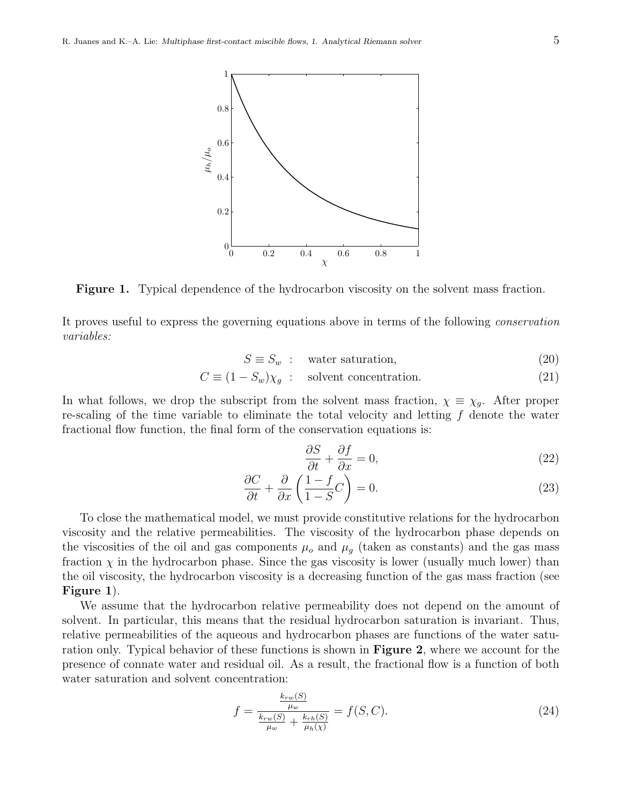

Figure 1. Typical dependence of the hydrocarbon viscosity on the solvent mass fraction.

It proves useful to express the governing equations above in terms of the following conservation variables:

$$
S \equiv S_w : \quad \text{water saturation}, \tag{20}
$$

$$
C \equiv (1 - S_w)\chi_g \qquad \text{solvent concentration.} \tag{21}
$$

In what follows, we drop the subscript from the solvent mass fraction,  $\chi \equiv \chi_g$ . After proper re-scaling of the time variable to eliminate the total velocity and letting  $f$  denote the water fractional flow function, the final form of the conservation equations is:

$$
\frac{\partial S}{\partial t} + \frac{\partial f}{\partial x} = 0,\tag{22}
$$

$$
\frac{\partial C}{\partial t} + \frac{\partial}{\partial x} \left( \frac{1 - f}{1 - S} C \right) = 0.
$$
\n(23)

To close the mathematical model, we must provide constitutive relations for the hydrocarbon viscosity and the relative permeabilities. The viscosity of the hydrocarbon phase depends on the viscosities of the oil and gas components  $\mu_o$  and  $\mu_q$  (taken as constants) and the gas mass fraction  $\chi$  in the hydrocarbon phase. Since the gas viscosity is lower (usually much lower) than the oil viscosity, the hydrocarbon viscosity is a decreasing function of the gas mass fraction (see Figure 1).

We assume that the hydrocarbon relative permeability does not depend on the amount of solvent. In particular, this means that the residual hydrocarbon saturation is invariant. Thus, relative permeabilities of the aqueous and hydrocarbon phases are functions of the water saturation only. Typical behavior of these functions is shown in Figure 2, where we account for the presence of connate water and residual oil. As a result, the fractional flow is a function of both water saturation and solvent concentration:

$$
f = \frac{\frac{k_{rw}(S)}{\mu_w}}{\frac{k_{rw}(S)}{\mu_w} + \frac{k_{rh}(S)}{\mu_h(\chi)}} = f(S, C).
$$
\n(24)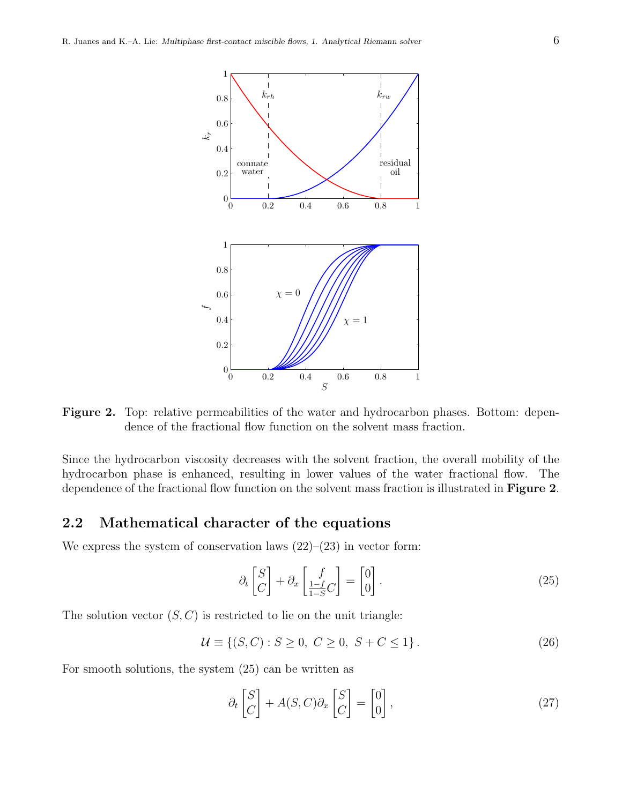

Figure 2. Top: relative permeabilities of the water and hydrocarbon phases. Bottom: dependence of the fractional flow function on the solvent mass fraction.

Since the hydrocarbon viscosity decreases with the solvent fraction, the overall mobility of the hydrocarbon phase is enhanced, resulting in lower values of the water fractional flow. The dependence of the fractional flow function on the solvent mass fraction is illustrated in **Figure 2**.

### 2.2 Mathematical character of the equations

We express the system of conservation laws  $(22)-(23)$  in vector form:

$$
\partial_t \begin{bmatrix} S \\ C \end{bmatrix} + \partial_x \begin{bmatrix} f \\ \frac{1-f}{1-S}C \end{bmatrix} = \begin{bmatrix} 0 \\ 0 \end{bmatrix}.
$$
 (25)

The solution vector  $(S, C)$  is restricted to lie on the unit triangle:

$$
\mathcal{U} \equiv \{(S, C) : S \ge 0, \ C \ge 0, \ S + C \le 1\}.
$$
 (26)

For smooth solutions, the system (25) can be written as

$$
\partial_t \begin{bmatrix} S \\ C \end{bmatrix} + A(S, C) \partial_x \begin{bmatrix} S \\ C \end{bmatrix} = \begin{bmatrix} 0 \\ 0 \end{bmatrix}, \tag{27}
$$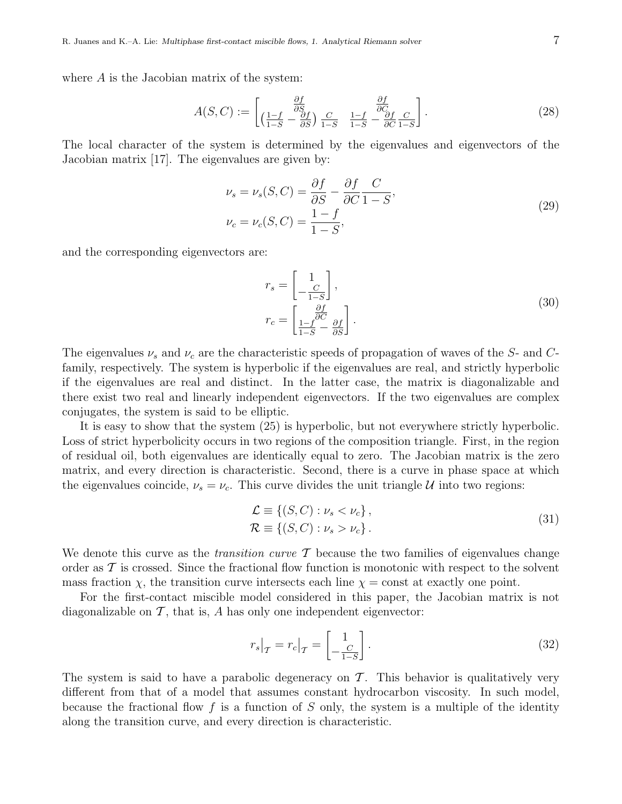where A is the Jacobian matrix of the system:

$$
A(S, C) := \begin{bmatrix} \frac{\partial f}{\partial S} \\ \left(\frac{1-f}{1-S} - \frac{\partial f}{\partial S}\right) \frac{C}{1-S} & \frac{1-f}{1-S} - \frac{\partial f}{\partial C} \frac{C}{1-S} \end{bmatrix}.
$$
 (28)

The local character of the system is determined by the eigenvalues and eigenvectors of the Jacobian matrix [17]. The eigenvalues are given by:

$$
\nu_s = \nu_s(S, C) = \frac{\partial f}{\partial S} - \frac{\partial f}{\partial C} \frac{C}{1 - S},
$$
  

$$
\nu_c = \nu_c(S, C) = \frac{1 - f}{1 - S},
$$
 (29)

and the corresponding eigenvectors are:

$$
r_s = \begin{bmatrix} 1 \\ -\frac{C}{1-S} \end{bmatrix},
$$
  
\n
$$
r_c = \begin{bmatrix} \frac{\partial f}{\partial C} \\ \frac{1-f}{1-S} - \frac{\partial f}{\partial S} \end{bmatrix}.
$$
\n(30)

The eigenvalues  $\nu_s$  and  $\nu_c$  are the characteristic speeds of propagation of waves of the S- and Cfamily, respectively. The system is hyperbolic if the eigenvalues are real, and strictly hyperbolic if the eigenvalues are real and distinct. In the latter case, the matrix is diagonalizable and there exist two real and linearly independent eigenvectors. If the two eigenvalues are complex conjugates, the system is said to be elliptic.

It is easy to show that the system (25) is hyperbolic, but not everywhere strictly hyperbolic. Loss of strict hyperbolicity occurs in two regions of the composition triangle. First, in the region of residual oil, both eigenvalues are identically equal to zero. The Jacobian matrix is the zero matrix, and every direction is characteristic. Second, there is a curve in phase space at which the eigenvalues coincide,  $\nu_s = \nu_c$ . This curve divides the unit triangle U into two regions:

$$
\mathcal{L} \equiv \{ (S, C) : \nu_s < \nu_c \},
$$
\n
$$
\mathcal{R} \equiv \{ (S, C) : \nu_s > \nu_c \} \,. \tag{31}
$$

We denote this curve as the *transition curve*  $\mathcal T$  because the two families of eigenvalues change order as  $\mathcal T$  is crossed. Since the fractional flow function is monotonic with respect to the solvent mass fraction  $\chi$ , the transition curve intersects each line  $\chi$  = const at exactly one point.

For the first-contact miscible model considered in this paper, the Jacobian matrix is not diagonalizable on  $\mathcal T$ , that is,  $A$  has only one independent eigenvector:

$$
r_s\big|_{\mathcal{T}} = r_c\big|_{\mathcal{T}} = \left[\begin{array}{c} 1\\ -\frac{C}{1-S} \end{array}\right].\tag{32}
$$

The system is said to have a parabolic degeneracy on  $\mathcal T$ . This behavior is qualitatively very different from that of a model that assumes constant hydrocarbon viscosity. In such model, because the fractional flow f is a function of S only, the system is a multiple of the identity along the transition curve, and every direction is characteristic.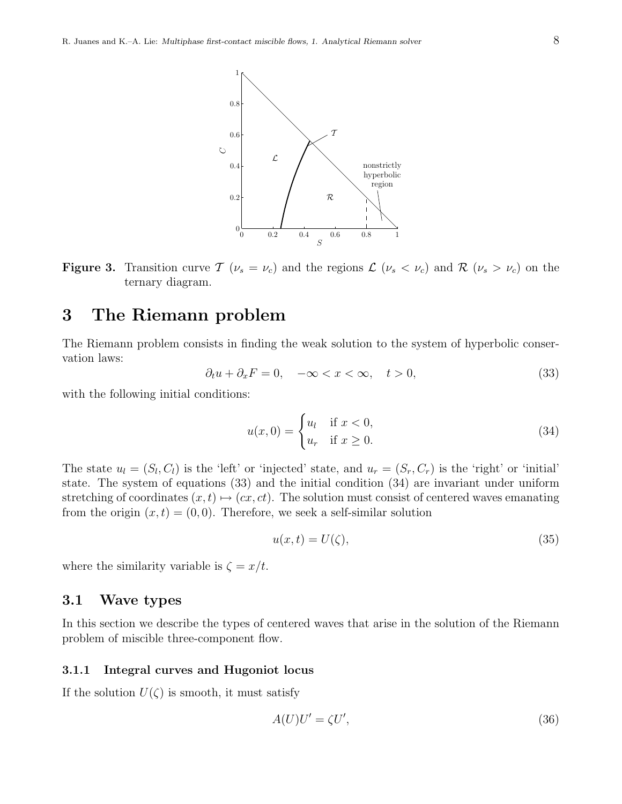1

0.6

0.8



 $\mathcal T$ 

**Figure 3.** Transition curve  $\mathcal{T}(\nu_s = \nu_c)$  and the regions  $\mathcal{L}(\nu_s < \nu_c)$  and  $\mathcal{R}(\nu_s > \nu_c)$  on the ternary diagram.

# 3 The Riemann problem

The Riemann problem consists in finding the weak solution to the system of hyperbolic conservation laws:

$$
\partial_t u + \partial_x F = 0, \quad -\infty < x < \infty, \quad t > 0,\tag{33}
$$

with the following initial conditions:

$$
u(x,0) = \begin{cases} u_l & \text{if } x < 0, \\ u_r & \text{if } x \ge 0. \end{cases}
$$
 (34)

The state  $u_l = (S_l, C_l)$  is the 'left' or 'injected' state, and  $u_r = (S_r, C_r)$  is the 'right' or 'initial' state. The system of equations (33) and the initial condition (34) are invariant under uniform stretching of coordinates  $(x, t) \mapsto (cx, ct)$ . The solution must consist of centered waves emanating from the origin  $(x, t) = (0, 0)$ . Therefore, we seek a self-similar solution

$$
u(x,t) = U(\zeta),\tag{35}
$$

where the similarity variable is  $\zeta = x/t$ .

## 3.1 Wave types

In this section we describe the types of centered waves that arise in the solution of the Riemann problem of miscible three-component flow.

#### 3.1.1 Integral curves and Hugoniot locus

If the solution  $U(\zeta)$  is smooth, it must satisfy

$$
A(U)U' = \zeta U',\tag{36}
$$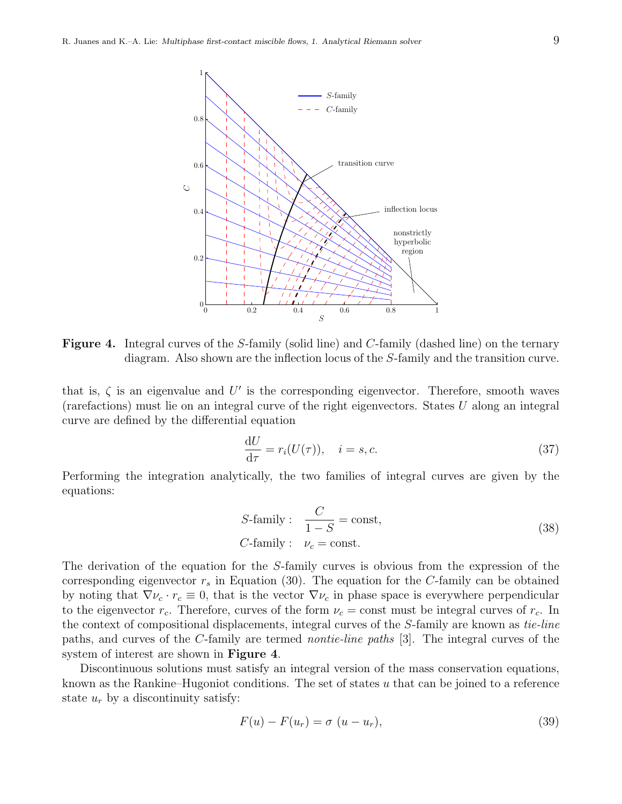

Figure 4. Integral curves of the S-family (solid line) and C-family (dashed line) on the ternary diagram. Also shown are the inflection locus of the S-family and the transition curve.

that is,  $\zeta$  is an eigenvalue and U' is the corresponding eigenvector. Therefore, smooth waves (rarefactions) must lie on an integral curve of the right eigenvectors. States U along an integral curve are defined by the differential equation

$$
\frac{\mathrm{d}U}{\mathrm{d}\tau} = r_i(U(\tau)), \quad i = s, c. \tag{37}
$$

Performing the integration analytically, the two families of integral curves are given by the equations:

S-family: 
$$
\frac{C}{1-S} = \text{const},
$$
  
C-family:  $\nu_c = \text{const}.$  (38)

The derivation of the equation for the S-family curves is obvious from the expression of the corresponding eigenvector  $r<sub>s</sub>$  in Equation (30). The equation for the C-family can be obtained by noting that  $\nabla \nu_c \cdot r_c \equiv 0$ , that is the vector  $\nabla \nu_c$  in phase space is everywhere perpendicular to the eigenvector  $r_c$ . Therefore, curves of the form  $\nu_c = \text{const}$  must be integral curves of  $r_c$ . In the context of compositional displacements, integral curves of the S-family are known as tie-line paths, and curves of the C-family are termed nontie-line paths [3]. The integral curves of the system of interest are shown in Figure 4.

Discontinuous solutions must satisfy an integral version of the mass conservation equations, known as the Rankine–Hugoniot conditions. The set of states  $u$  that can be joined to a reference state  $u_r$  by a discontinuity satisfy:

$$
F(u) - F(u_r) = \sigma (u - u_r), \qquad (39)
$$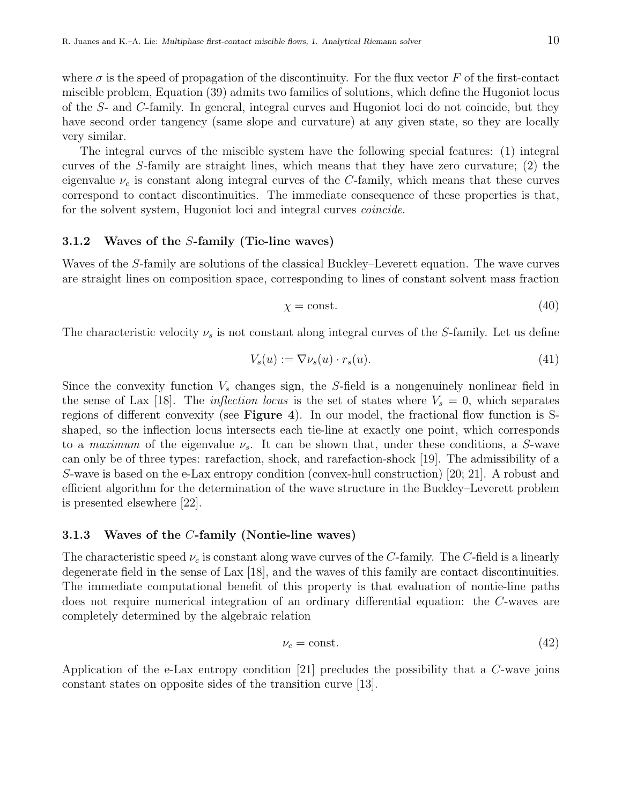where  $\sigma$  is the speed of propagation of the discontinuity. For the flux vector F of the first-contact miscible problem, Equation (39) admits two families of solutions, which define the Hugoniot locus of the S- and C-family. In general, integral curves and Hugoniot loci do not coincide, but they have second order tangency (same slope and curvature) at any given state, so they are locally very similar.

The integral curves of the miscible system have the following special features: (1) integral curves of the S-family are straight lines, which means that they have zero curvature; (2) the eigenvalue  $\nu_c$  is constant along integral curves of the C-family, which means that these curves correspond to contact discontinuities. The immediate consequence of these properties is that, for the solvent system, Hugoniot loci and integral curves *coincide*.

#### 3.1.2 Waves of the S-family (Tie-line waves)

Waves of the S-family are solutions of the classical Buckley–Leverett equation. The wave curves are straight lines on composition space, corresponding to lines of constant solvent mass fraction

$$
\chi = \text{const.} \tag{40}
$$

The characteristic velocity  $\nu_s$  is not constant along integral curves of the S-family. Let us define

$$
V_s(u) := \nabla \nu_s(u) \cdot r_s(u). \tag{41}
$$

Since the convexity function  $V_s$  changes sign, the S-field is a nongenuinely nonlinear field in the sense of Lax [18]. The *inflection locus* is the set of states where  $V_s = 0$ , which separates regions of different convexity (see Figure 4). In our model, the fractional flow function is Sshaped, so the inflection locus intersects each tie-line at exactly one point, which corresponds to a maximum of the eigenvalue  $\nu_s$ . It can be shown that, under these conditions, a S-wave can only be of three types: rarefaction, shock, and rarefaction-shock [19]. The admissibility of a S-wave is based on the e-Lax entropy condition (convex-hull construction) [20; 21]. A robust and efficient algorithm for the determination of the wave structure in the Buckley–Leverett problem is presented elsewhere [22].

#### 3.1.3 Waves of the C-family (Nontie-line waves)

The characteristic speed  $\nu_c$  is constant along wave curves of the C-family. The C-field is a linearly degenerate field in the sense of Lax [18], and the waves of this family are contact discontinuities. The immediate computational benefit of this property is that evaluation of nontie-line paths does not require numerical integration of an ordinary differential equation: the C-waves are completely determined by the algebraic relation

$$
\nu_c = \text{const.}\tag{42}
$$

Application of the e-Lax entropy condition [21] precludes the possibility that a C-wave joins constant states on opposite sides of the transition curve [13].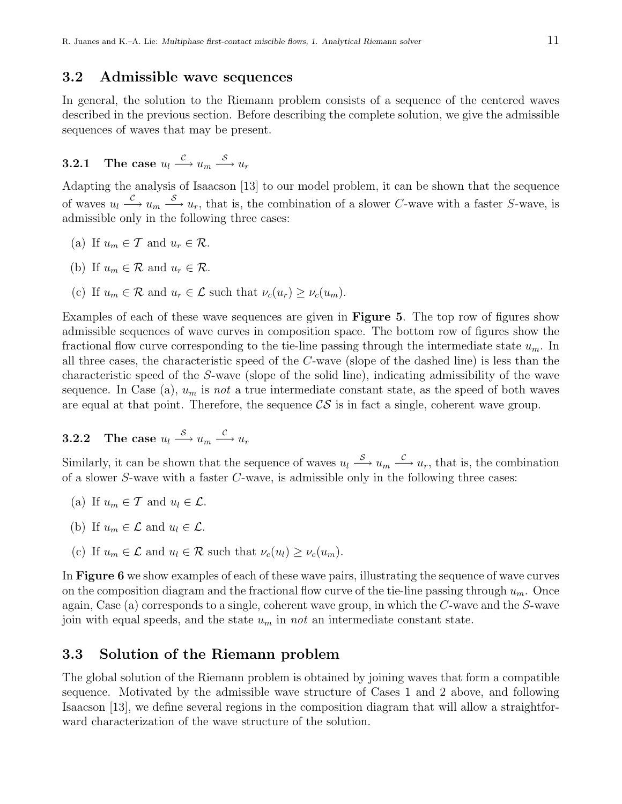### 3.2 Admissible wave sequences

In general, the solution to the Riemann problem consists of a sequence of the centered waves described in the previous section. Before describing the complete solution, we give the admissible sequences of waves that may be present.

3.2.1 The case 
$$
u_l \xrightarrow{\mathcal{C}} u_m \xrightarrow{\mathcal{S}} u_r
$$

Adapting the analysis of Isaacson [13] to our model problem, it can be shown that the sequence of waves  $u_l \stackrel{C}{\longrightarrow} u_m \stackrel{S}{\longrightarrow} u_r$ , that is, the combination of a slower C-wave with a faster S-wave, is admissible only in the following three cases:

- (a) If  $u_m \in \mathcal{T}$  and  $u_r \in \mathcal{R}$ .
- (b) If  $u_m \in \mathcal{R}$  and  $u_r \in \mathcal{R}$ .
- (c) If  $u_m \in \mathcal{R}$  and  $u_r \in \mathcal{L}$  such that  $\nu_c(u_r) \geq \nu_c(u_m)$ .

Examples of each of these wave sequences are given in Figure 5. The top row of figures show admissible sequences of wave curves in composition space. The bottom row of figures show the fractional flow curve corresponding to the tie-line passing through the intermediate state  $u_m$ . In all three cases, the characteristic speed of the C-wave (slope of the dashed line) is less than the characteristic speed of the S-wave (slope of the solid line), indicating admissibility of the wave sequence. In Case (a),  $u_m$  is not a true intermediate constant state, as the speed of both waves are equal at that point. Therefore, the sequence  $\mathcal{CS}$  is in fact a single, coherent wave group.

3.2.2 The case 
$$
u_l \xrightarrow{S} u_m \xrightarrow{c} u_r
$$

Similarly, it can be shown that the sequence of waves  $u_l \stackrel{S}{\longrightarrow} u_m \stackrel{C}{\longrightarrow} u_r$ , that is, the combination of a slower S-wave with a faster C-wave, is admissible only in the following three cases:

- (a) If  $u_m \in \mathcal{T}$  and  $u_l \in \mathcal{L}$ .
- (b) If  $u_m \in \mathcal{L}$  and  $u_l \in \mathcal{L}$ .
- (c) If  $u_m \in \mathcal{L}$  and  $u_l \in \mathcal{R}$  such that  $\nu_c(u_l) \geq \nu_c(u_m)$ .

In Figure 6 we show examples of each of these wave pairs, illustrating the sequence of wave curves on the composition diagram and the fractional flow curve of the tie-line passing through  $u_m$ . Once again, Case (a) corresponds to a single, coherent wave group, in which the C-wave and the S-wave join with equal speeds, and the state  $u_m$  in not an intermediate constant state.

## 3.3 Solution of the Riemann problem

The global solution of the Riemann problem is obtained by joining waves that form a compatible sequence. Motivated by the admissible wave structure of Cases 1 and 2 above, and following Isaacson [13], we define several regions in the composition diagram that will allow a straightforward characterization of the wave structure of the solution.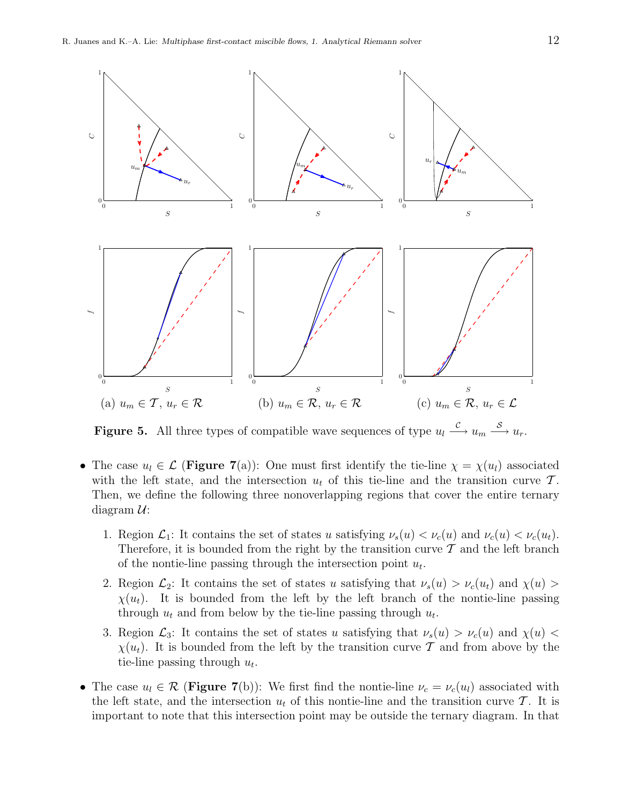

**Figure 5.** All three types of compatible wave sequences of type  $u_l \stackrel{\mathcal{C}}{\longrightarrow} u_m \stackrel{\mathcal{S}}{\longrightarrow} u_r$ .

- The case  $u_l \in \mathcal{L}$  (Figure 7(a)): One must first identify the tie-line  $\chi = \chi(u_l)$  associated with the left state, and the intersection  $u_t$  of this tie-line and the transition curve  $\mathcal{T}$ . Then, we define the following three nonoverlapping regions that cover the entire ternary diagram  $\mathcal{U}$ :
	- 1. Region  $\mathcal{L}_1$ : It contains the set of states u satisfying  $\nu_s(u) < \nu_c(u)$  and  $\nu_c(u) < \nu_c(u_t)$ . Therefore, it is bounded from the right by the transition curve  $\mathcal T$  and the left branch of the nontie-line passing through the intersection point  $u_t$ .
	- 2. Region  $\mathcal{L}_2$ : It contains the set of states u satisfying that  $\nu_s(u) > \nu_c(u_t)$  and  $\chi(u) >$  $\chi(u_t)$ . It is bounded from the left by the left branch of the nontie-line passing through  $u_t$  and from below by the tie-line passing through  $u_t$ .
	- 3. Region  $\mathcal{L}_3$ : It contains the set of states u satisfying that  $\nu_s(u) > \nu_c(u)$  and  $\chi(u)$  $\chi(u_t)$ . It is bounded from the left by the transition curve T and from above by the tie-line passing through  $u_t$ .
- The case  $u_l \in \mathcal{R}$  (Figure 7(b)): We first find the nontie-line  $\nu_c = \nu_c(u_l)$  associated with the left state, and the intersection  $u_t$  of this nontie-line and the transition curve T. It is important to note that this intersection point may be outside the ternary diagram. In that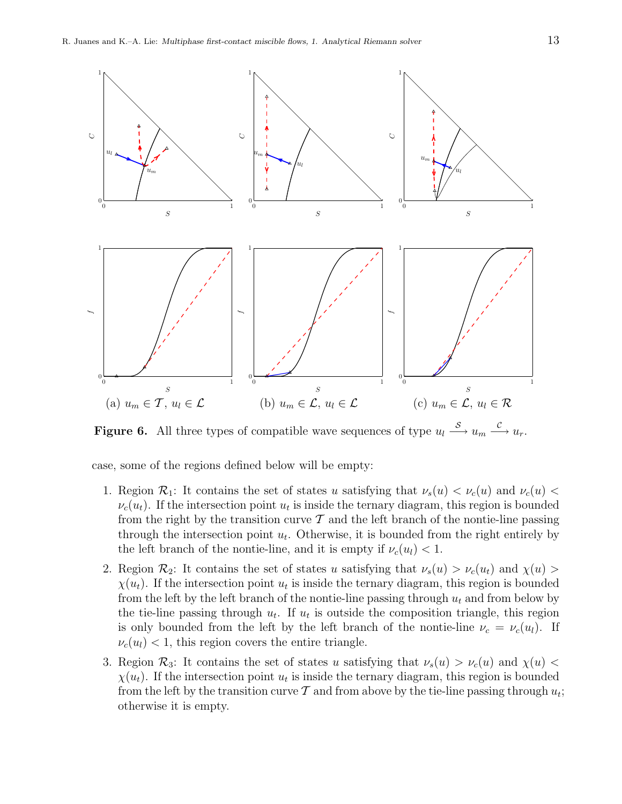

**Figure 6.** All three types of compatible wave sequences of type  $u_l \stackrel{S}{\longrightarrow} u_m \stackrel{C}{\longrightarrow} u_r$ .

case, some of the regions defined below will be empty:

- 1. Region  $\mathcal{R}_1$ : It contains the set of states u satisfying that  $\nu_s(u) < \nu_c(u)$  and  $\nu_c(u) <$  $\nu_c(u_t)$ . If the intersection point  $u_t$  is inside the ternary diagram, this region is bounded from the right by the transition curve  $\mathcal T$  and the left branch of the nontie-line passing through the intersection point  $u_t$ . Otherwise, it is bounded from the right entirely by the left branch of the nontie-line, and it is empty if  $\nu_c(u_l) < 1$ .
- 2. Region  $\mathcal{R}_2$ : It contains the set of states u satisfying that  $\nu_s(u) > \nu_c(u_t)$  and  $\chi(u) >$  $\chi(u_t)$ . If the intersection point  $u_t$  is inside the ternary diagram, this region is bounded from the left by the left branch of the nontie-line passing through  $u_t$  and from below by the tie-line passing through  $u_t$ . If  $u_t$  is outside the composition triangle, this region is only bounded from the left by the left branch of the nontie-line  $\nu_c = \nu_c(u_l)$ . If  $\nu_c(u_l)$  < 1, this region covers the entire triangle.
- 3. Region  $\mathcal{R}_3$ : It contains the set of states u satisfying that  $\nu_s(u) > \nu_c(u)$  and  $\chi(u)$  $\chi(u_t)$ . If the intersection point  $u_t$  is inside the ternary diagram, this region is bounded from the left by the transition curve  $\mathcal T$  and from above by the tie-line passing through  $u_t$ ; otherwise it is empty.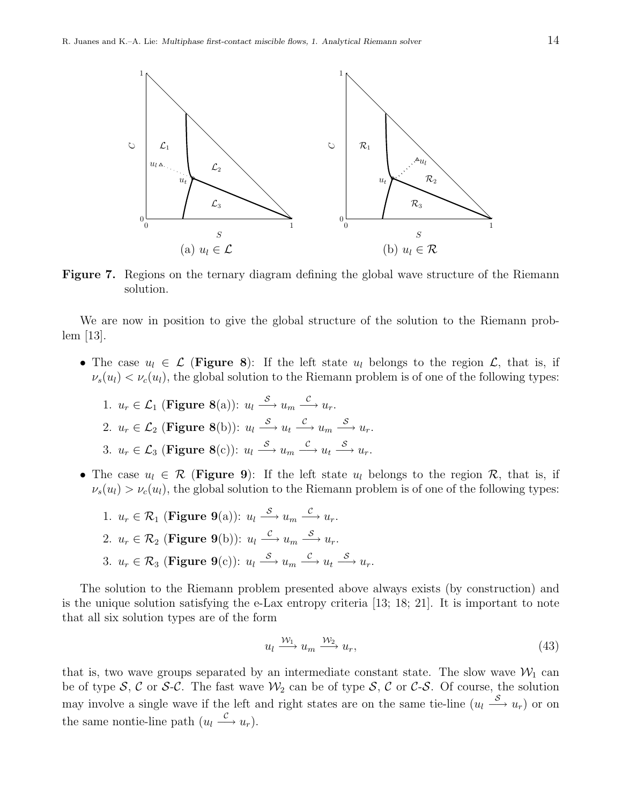

Figure 7. Regions on the ternary diagram defining the global wave structure of the Riemann solution.

We are now in position to give the global structure of the solution to the Riemann problem [13].

- The case  $u_l \in \mathcal{L}$  (Figure 8): If the left state  $u_l$  belongs to the region  $\mathcal{L}$ , that is, if  $\nu_s(u_l) < \nu_c(u_l)$ , the global solution to the Riemann problem is of one of the following types:
	- 1.  $u_r \in \mathcal{L}_1$  (Figure 8(a)):  $u_l \stackrel{\mathcal{S}}{\longrightarrow} u_m \stackrel{\mathcal{C}}{\longrightarrow} u_r$ . 2.  $u_r \in \mathcal{L}_2$  (Figure 8(b)):  $u_l \stackrel{\mathcal{S}}{\longrightarrow} u_t \stackrel{\mathcal{C}}{\longrightarrow} u_m \stackrel{\mathcal{S}}{\longrightarrow} u_r$ . 3.  $u_r \in \mathcal{L}_3$  (Figure 8(c)):  $u_l \xrightarrow{S} u_m \xrightarrow{c} u_t \xrightarrow{S} u_r$ .
- The case  $u_l \in \mathcal{R}$  (Figure 9): If the left state  $u_l$  belongs to the region  $\mathcal{R}$ , that is, if  $\nu_s(u_l) > \nu_c(u_l)$ , the global solution to the Riemann problem is of one of the following types:
	- 1.  $u_r \in \mathcal{R}_1$  (Figure 9(a)):  $u_l \stackrel{\mathcal{S}}{\longrightarrow} u_m \stackrel{\mathcal{C}}{\longrightarrow} u_r$ . 2.  $u_r \in \mathcal{R}_2$  (Figure 9(b)):  $u_l \stackrel{\mathcal{C}}{\longrightarrow} u_m \stackrel{\mathcal{S}}{\longrightarrow} u_r$ . 3.  $u_r \in \mathcal{R}_3$  (Figure 9(c)):  $u_l \stackrel{\mathcal{S}}{\longrightarrow} u_m \stackrel{\mathcal{C}}{\longrightarrow} u_t \stackrel{\mathcal{S}}{\longrightarrow} u_r$ .

The solution to the Riemann problem presented above always exists (by construction) and is the unique solution satisfying the e-Lax entropy criteria [13; 18; 21]. It is important to note that all six solution types are of the form

$$
u_l \xrightarrow{\mathcal{W}_1} u_m \xrightarrow{\mathcal{W}_2} u_r,\tag{43}
$$

that is, two wave groups separated by an intermediate constant state. The slow wave  $\mathcal{W}_1$  can be of type S, C or S-C. The fast wave  $\mathcal{W}_2$  can be of type S, C or C-S. Of course, the solution may involve a single wave if the left and right states are on the same tie-line  $(u_l \stackrel{S}{\longrightarrow} u_r)$  or on the same nontie-line path  $(u_l \stackrel{c}{\longrightarrow} u_r)$ .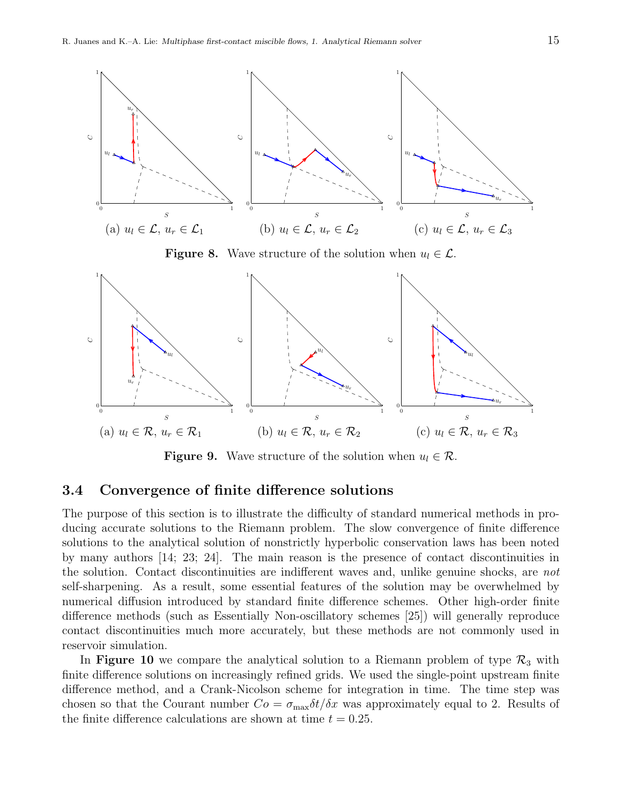

**Figure 8.** Wave structure of the solution when  $u_l \in \mathcal{L}$ .



**Figure 9.** Wave structure of the solution when  $u_l \in \mathcal{R}$ .

### 3.4 Convergence of finite difference solutions

The purpose of this section is to illustrate the difficulty of standard numerical methods in producing accurate solutions to the Riemann problem. The slow convergence of finite difference solutions to the analytical solution of nonstrictly hyperbolic conservation laws has been noted by many authors [14; 23; 24]. The main reason is the presence of contact discontinuities in the solution. Contact discontinuities are indifferent waves and, unlike genuine shocks, are not self-sharpening. As a result, some essential features of the solution may be overwhelmed by numerical diffusion introduced by standard finite difference schemes. Other high-order finite difference methods (such as Essentially Non-oscillatory schemes [25]) will generally reproduce contact discontinuities much more accurately, but these methods are not commonly used in reservoir simulation.

In Figure 10 we compare the analytical solution to a Riemann problem of type  $\mathcal{R}_3$  with finite difference solutions on increasingly refined grids. We used the single-point upstream finite difference method, and a Crank-Nicolson scheme for integration in time. The time step was chosen so that the Courant number  $Co = \sigma_{\text{max}} \delta t / \delta x$  was approximately equal to 2. Results of the finite difference calculations are shown at time  $t = 0.25$ .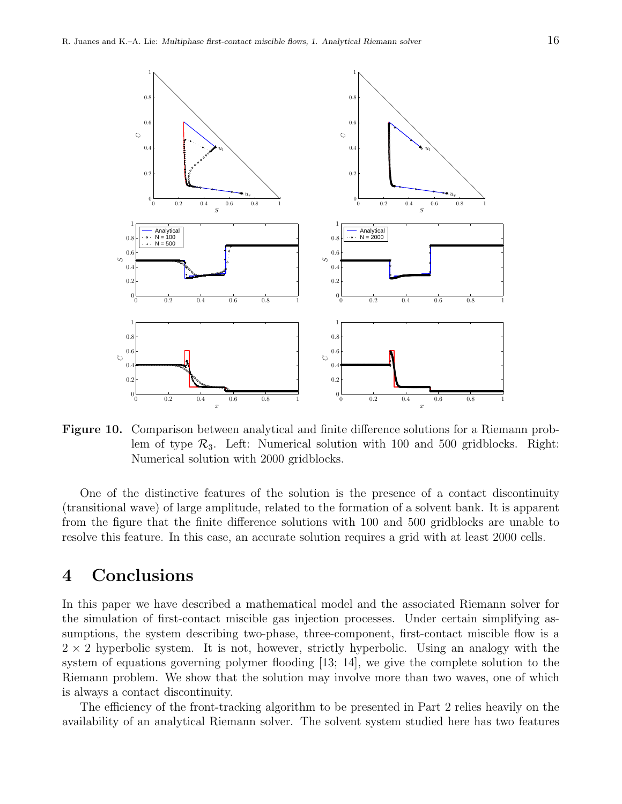

Figure 10. Comparison between analytical and finite difference solutions for a Riemann problem of type  $\mathcal{R}_3$ . Left: Numerical solution with 100 and 500 gridblocks. Right: Numerical solution with 2000 gridblocks.

One of the distinctive features of the solution is the presence of a contact discontinuity (transitional wave) of large amplitude, related to the formation of a solvent bank. It is apparent from the figure that the finite difference solutions with 100 and 500 gridblocks are unable to resolve this feature. In this case, an accurate solution requires a grid with at least 2000 cells.

# 4 Conclusions

In this paper we have described a mathematical model and the associated Riemann solver for the simulation of first-contact miscible gas injection processes. Under certain simplifying assumptions, the system describing two-phase, three-component, first-contact miscible flow is a  $2 \times 2$  hyperbolic system. It is not, however, strictly hyperbolic. Using an analogy with the system of equations governing polymer flooding [13; 14], we give the complete solution to the Riemann problem. We show that the solution may involve more than two waves, one of which is always a contact discontinuity.

The efficiency of the front-tracking algorithm to be presented in Part 2 relies heavily on the availability of an analytical Riemann solver. The solvent system studied here has two features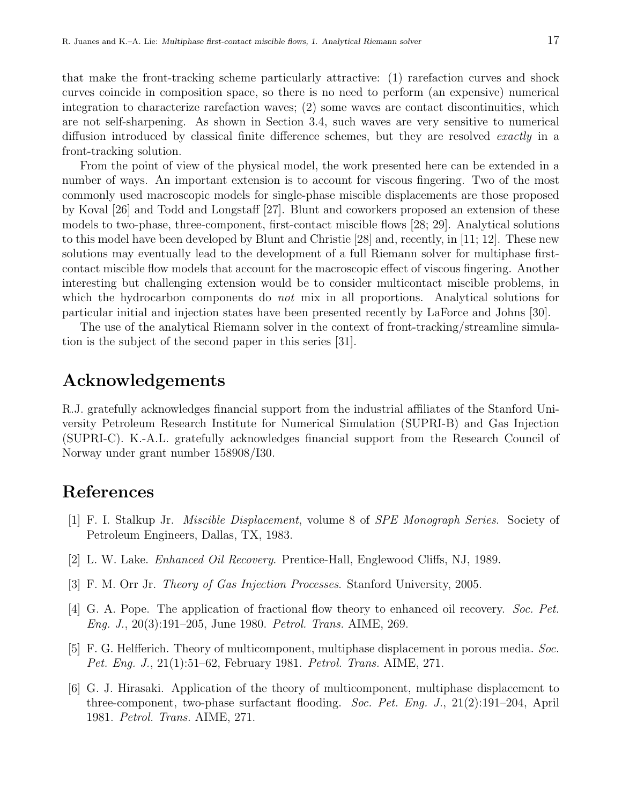that make the front-tracking scheme particularly attractive: (1) rarefaction curves and shock curves coincide in composition space, so there is no need to perform (an expensive) numerical integration to characterize rarefaction waves; (2) some waves are contact discontinuities, which are not self-sharpening. As shown in Section 3.4, such waves are very sensitive to numerical diffusion introduced by classical finite difference schemes, but they are resolved *exactly* in a front-tracking solution.

From the point of view of the physical model, the work presented here can be extended in a number of ways. An important extension is to account for viscous fingering. Two of the most commonly used macroscopic models for single-phase miscible displacements are those proposed by Koval [26] and Todd and Longstaff [27]. Blunt and coworkers proposed an extension of these models to two-phase, three-component, first-contact miscible flows [28; 29]. Analytical solutions to this model have been developed by Blunt and Christie [28] and, recently, in [11; 12]. These new solutions may eventually lead to the development of a full Riemann solver for multiphase firstcontact miscible flow models that account for the macroscopic effect of viscous fingering. Another interesting but challenging extension would be to consider multicontact miscible problems, in which the hydrocarbon components do *not* mix in all proportions. Analytical solutions for particular initial and injection states have been presented recently by LaForce and Johns [30].

The use of the analytical Riemann solver in the context of front-tracking/streamline simulation is the subject of the second paper in this series [31].

# Acknowledgements

R.J. gratefully acknowledges financial support from the industrial affiliates of the Stanford University Petroleum Research Institute for Numerical Simulation (SUPRI-B) and Gas Injection (SUPRI-C). K.-A.L. gratefully acknowledges financial support from the Research Council of Norway under grant number 158908/I30.

# References

- [1] F. I. Stalkup Jr. Miscible Displacement, volume 8 of SPE Monograph Series. Society of Petroleum Engineers, Dallas, TX, 1983.
- [2] L. W. Lake. Enhanced Oil Recovery. Prentice-Hall, Englewood Cliffs, NJ, 1989.
- [3] F. M. Orr Jr. Theory of Gas Injection Processes. Stanford University, 2005.
- [4] G. A. Pope. The application of fractional flow theory to enhanced oil recovery. Soc. Pet. Eng. J., 20(3):191–205, June 1980. Petrol. Trans. AIME, 269.
- [5] F. G. Helfferich. Theory of multicomponent, multiphase displacement in porous media. Soc. Pet. Eng. J., 21(1):51–62, February 1981. Petrol. Trans. AIME, 271.
- [6] G. J. Hirasaki. Application of the theory of multicomponent, multiphase displacement to three-component, two-phase surfactant flooding. Soc. Pet. Eng. J., 21(2):191–204, April 1981. Petrol. Trans. AIME, 271.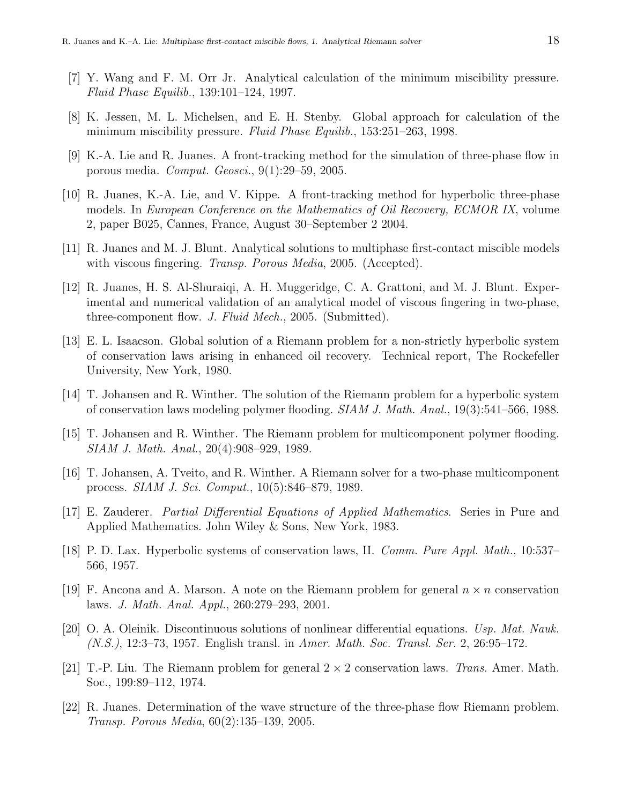- [7] Y. Wang and F. M. Orr Jr. Analytical calculation of the minimum miscibility pressure. Fluid Phase Equilib., 139:101–124, 1997.
- [8] K. Jessen, M. L. Michelsen, and E. H. Stenby. Global approach for calculation of the minimum miscibility pressure. Fluid Phase Equilib., 153:251–263, 1998.
- [9] K.-A. Lie and R. Juanes. A front-tracking method for the simulation of three-phase flow in porous media. Comput. Geosci., 9(1):29–59, 2005.
- [10] R. Juanes, K.-A. Lie, and V. Kippe. A front-tracking method for hyperbolic three-phase models. In European Conference on the Mathematics of Oil Recovery, ECMOR IX, volume 2, paper B025, Cannes, France, August 30–September 2 2004.
- [11] R. Juanes and M. J. Blunt. Analytical solutions to multiphase first-contact miscible models with viscous fingering. *Transp. Porous Media*, 2005. (Accepted).
- [12] R. Juanes, H. S. Al-Shuraiqi, A. H. Muggeridge, C. A. Grattoni, and M. J. Blunt. Experimental and numerical validation of an analytical model of viscous fingering in two-phase, three-component flow. J. Fluid Mech., 2005. (Submitted).
- [13] E. L. Isaacson. Global solution of a Riemann problem for a non-strictly hyperbolic system of conservation laws arising in enhanced oil recovery. Technical report, The Rockefeller University, New York, 1980.
- [14] T. Johansen and R. Winther. The solution of the Riemann problem for a hyperbolic system of conservation laws modeling polymer flooding. SIAM J. Math. Anal., 19(3):541–566, 1988.
- [15] T. Johansen and R. Winther. The Riemann problem for multicomponent polymer flooding. SIAM J. Math. Anal., 20(4):908–929, 1989.
- [16] T. Johansen, A. Tveito, and R. Winther. A Riemann solver for a two-phase multicomponent process. SIAM J. Sci. Comput., 10(5):846–879, 1989.
- [17] E. Zauderer. Partial Differential Equations of Applied Mathematics. Series in Pure and Applied Mathematics. John Wiley & Sons, New York, 1983.
- [18] P. D. Lax. Hyperbolic systems of conservation laws, II. Comm. Pure Appl. Math., 10:537– 566, 1957.
- [19] F. Ancona and A. Marson. A note on the Riemann problem for general  $n \times n$  conservation laws. J. Math. Anal. Appl., 260:279–293, 2001.
- [20] O. A. Oleinik. Discontinuous solutions of nonlinear differential equations. Usp. Mat. Nauk. (N.S.), 12:3–73, 1957. English transl. in Amer. Math. Soc. Transl. Ser. 2, 26:95–172.
- [21] T.-P. Liu. The Riemann problem for general  $2 \times 2$  conservation laws. Trans. Amer. Math. Soc., 199:89–112, 1974.
- [22] R. Juanes. Determination of the wave structure of the three-phase flow Riemann problem. Transp. Porous Media, 60(2):135–139, 2005.